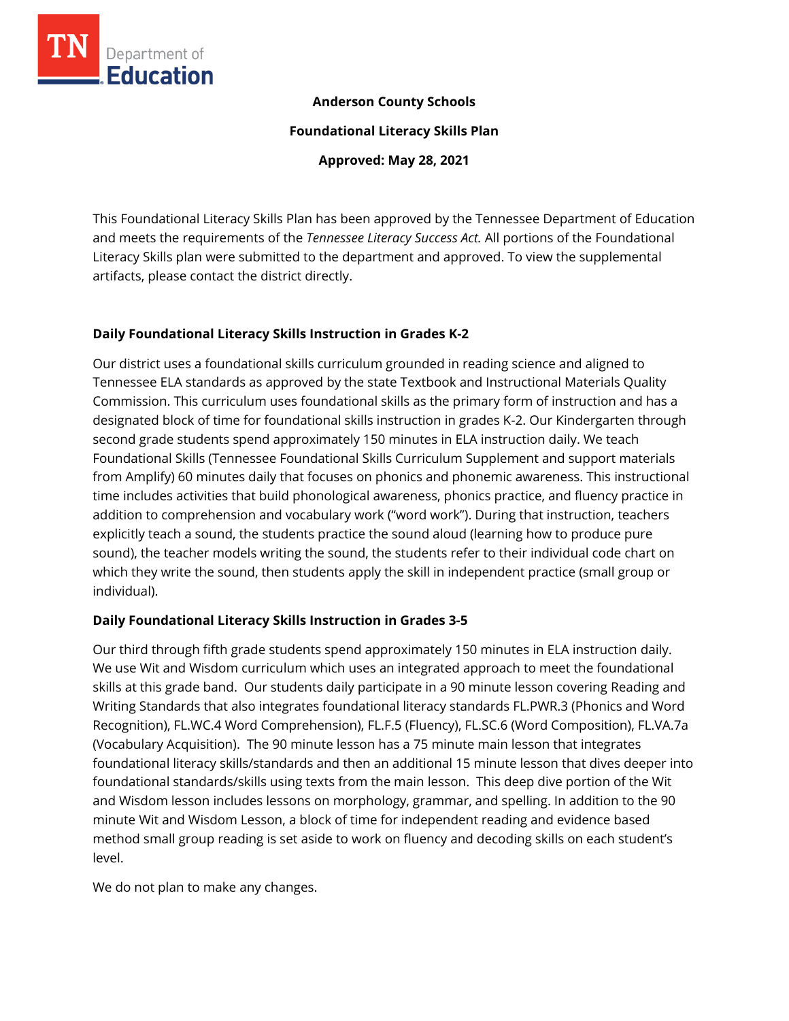

## **Anderson County Schools**

**Foundational Literacy Skills Plan**

**Approved: May 28, 2021**

This Foundational Literacy Skills Plan has been approved by the Tennessee Department of Education and meets the requirements of the *Tennessee Literacy Success Act.* All portions of the Foundational Literacy Skills plan were submitted to the department and approved. To view the supplemental artifacts, please contact the district directly.

## **Daily Foundational Literacy Skills Instruction in Grades K-2**

Our district uses a foundational skills curriculum grounded in reading science and aligned to Tennessee ELA standards as approved by the state Textbook and Instructional Materials Quality Commission. This curriculum uses foundational skills as the primary form of instruction and has a designated block of time for foundational skills instruction in grades K-2. Our Kindergarten through second grade students spend approximately 150 minutes in ELA instruction daily. We teach Foundational Skills (Tennessee Foundational Skills Curriculum Supplement and support materials from Amplify) 60 minutes daily that focuses on phonics and phonemic awareness. This instructional time includes activities that build phonological awareness, phonics practice, and fluency practice in addition to comprehension and vocabulary work ("word work"). During that instruction, teachers explicitly teach a sound, the students practice the sound aloud (learning how to produce pure sound), the teacher models writing the sound, the students refer to their individual code chart on which they write the sound, then students apply the skill in independent practice (small group or individual).

## **Daily Foundational Literacy Skills Instruction in Grades 3-5**

Our third through fifth grade students spend approximately 150 minutes in ELA instruction daily. We use Wit and Wisdom curriculum which uses an integrated approach to meet the foundational skills at this grade band. Our students daily participate in a 90 minute lesson covering Reading and Writing Standards that also integrates foundational literacy standards FL.PWR.3 (Phonics and Word Recognition), FL.WC.4 Word Comprehension), FL.F.5 (Fluency), FL.SC.6 (Word Composition), FL.VA.7a (Vocabulary Acquisition). The 90 minute lesson has a 75 minute main lesson that integrates foundational literacy skills/standards and then an additional 15 minute lesson that dives deeper into foundational standards/skills using texts from the main lesson. This deep dive portion of the Wit and Wisdom lesson includes lessons on morphology, grammar, and spelling. In addition to the 90 minute Wit and Wisdom Lesson, a block of time for independent reading and evidence based method small group reading is set aside to work on fluency and decoding skills on each student's level.

We do not plan to make any changes.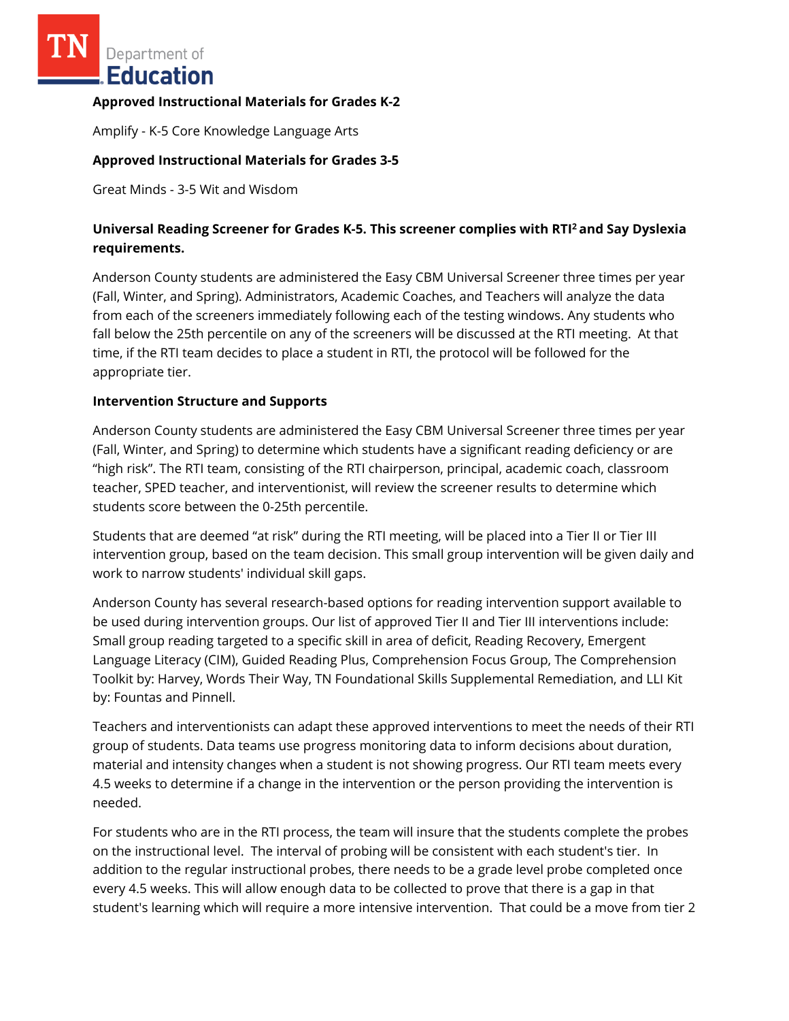Department of **Education** 

### **Approved Instructional Materials for Grades K-2**

Amplify - K-5 Core Knowledge Language Arts

### **Approved Instructional Materials for Grades 3-5**

Great Minds - 3-5 Wit and Wisdom

# **Universal Reading Screener for Grades K-5. This screener complies with RTI<sup>2</sup>and Say Dyslexia requirements.**

Anderson County students are administered the Easy CBM Universal Screener three times per year (Fall, Winter, and Spring). Administrators, Academic Coaches, and Teachers will analyze the data from each of the screeners immediately following each of the testing windows. Any students who fall below the 25th percentile on any of the screeners will be discussed at the RTI meeting. At that time, if the RTI team decides to place a student in RTI, the protocol will be followed for the appropriate tier.

#### **Intervention Structure and Supports**

Anderson County students are administered the Easy CBM Universal Screener three times per year (Fall, Winter, and Spring) to determine which students have a significant reading deficiency or are "high risk". The RTI team, consisting of the RTI chairperson, principal, academic coach, classroom teacher, SPED teacher, and interventionist, will review the screener results to determine which students score between the 0-25th percentile.

Students that are deemed "at risk" during the RTI meeting, will be placed into a Tier II or Tier III intervention group, based on the team decision. This small group intervention will be given daily and work to narrow students' individual skill gaps.

Anderson County has several research-based options for reading intervention support available to be used during intervention groups. Our list of approved Tier II and Tier III interventions include: Small group reading targeted to a specific skill in area of deficit, Reading Recovery, Emergent Language Literacy (CIM), Guided Reading Plus, Comprehension Focus Group, The Comprehension Toolkit by: Harvey, Words Their Way, TN Foundational Skills Supplemental Remediation, and LLI Kit by: Fountas and Pinnell.

Teachers and interventionists can adapt these approved interventions to meet the needs of their RTI group of students. Data teams use progress monitoring data to inform decisions about duration, material and intensity changes when a student is not showing progress. Our RTI team meets every 4.5 weeks to determine if a change in the intervention or the person providing the intervention is needed.

For students who are in the RTI process, the team will insure that the students complete the probes on the instructional level. The interval of probing will be consistent with each student's tier. In addition to the regular instructional probes, there needs to be a grade level probe completed once every 4.5 weeks. This will allow enough data to be collected to prove that there is a gap in that student's learning which will require a more intensive intervention. That could be a move from tier 2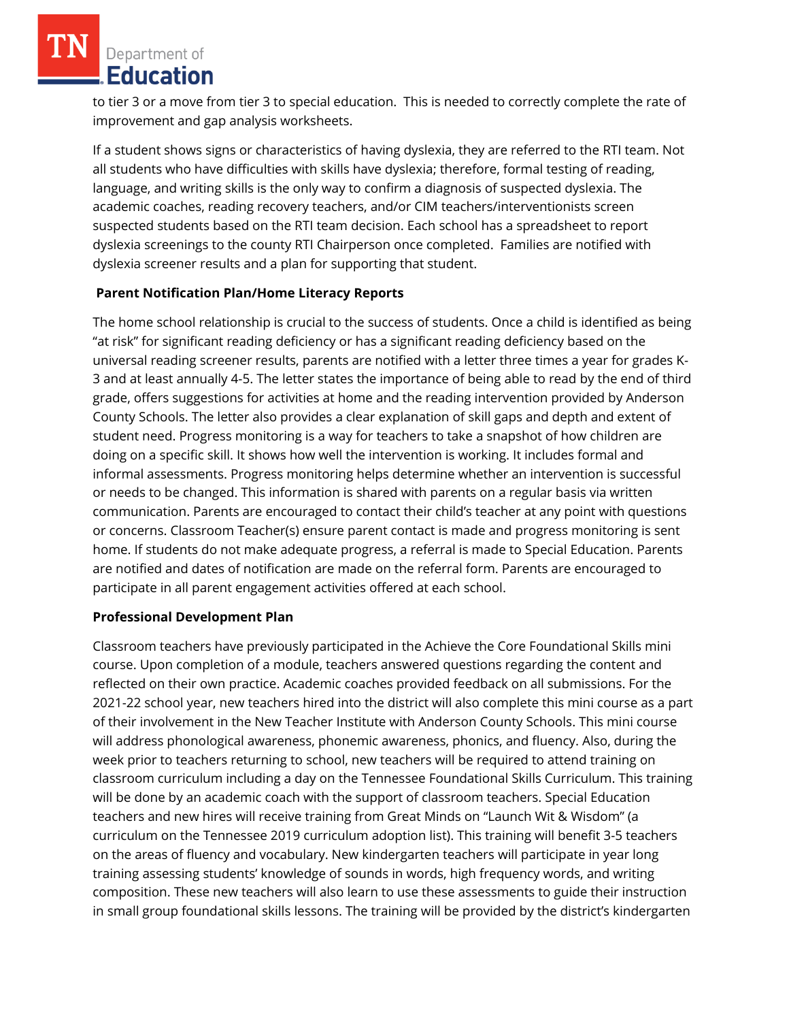Department of Education

to tier 3 or a move from tier 3 to special education. This is needed to correctly complete the rate of improvement and gap analysis worksheets.

If a student shows signs or characteristics of having dyslexia, they are referred to the RTI team. Not all students who have difficulties with skills have dyslexia; therefore, formal testing of reading, language, and writing skills is the only way to confirm a diagnosis of suspected dyslexia. The academic coaches, reading recovery teachers, and/or CIM teachers/interventionists screen suspected students based on the RTI team decision. Each school has a spreadsheet to report dyslexia screenings to the county RTI Chairperson once completed. Families are notified with dyslexia screener results and a plan for supporting that student.

## **Parent Notification Plan/Home Literacy Reports**

The home school relationship is crucial to the success of students. Once a child is identified as being "at risk" for significant reading deficiency or has a significant reading deficiency based on the universal reading screener results, parents are notified with a letter three times a year for grades K-3 and at least annually 4-5. The letter states the importance of being able to read by the end of third grade, offers suggestions for activities at home and the reading intervention provided by Anderson County Schools. The letter also provides a clear explanation of skill gaps and depth and extent of student need. Progress monitoring is a way for teachers to take a snapshot of how children are doing on a specific skill. It shows how well the intervention is working. It includes formal and informal assessments. Progress monitoring helps determine whether an intervention is successful or needs to be changed. This information is shared with parents on a regular basis via written communication. Parents are encouraged to contact their child's teacher at any point with questions or concerns. Classroom Teacher(s) ensure parent contact is made and progress monitoring is sent home. If students do not make adequate progress, a referral is made to Special Education. Parents are notified and dates of notification are made on the referral form. Parents are encouraged to participate in all parent engagement activities offered at each school.

#### **Professional Development Plan**

Classroom teachers have previously participated in the Achieve the Core Foundational Skills mini course. Upon completion of a module, teachers answered questions regarding the content and reflected on their own practice. Academic coaches provided feedback on all submissions. For the 2021-22 school year, new teachers hired into the district will also complete this mini course as a part of their involvement in the New Teacher Institute with Anderson County Schools. This mini course will address phonological awareness, phonemic awareness, phonics, and fluency. Also, during the week prior to teachers returning to school, new teachers will be required to attend training on classroom curriculum including a day on the Tennessee Foundational Skills Curriculum. This training will be done by an academic coach with the support of classroom teachers. Special Education teachers and new hires will receive training from Great Minds on "Launch Wit & Wisdom" (a curriculum on the Tennessee 2019 curriculum adoption list). This training will benefit 3-5 teachers on the areas of fluency and vocabulary. New kindergarten teachers will participate in year long training assessing students' knowledge of sounds in words, high frequency words, and writing composition. These new teachers will also learn to use these assessments to guide their instruction in small group foundational skills lessons. The training will be provided by the district's kindergarten